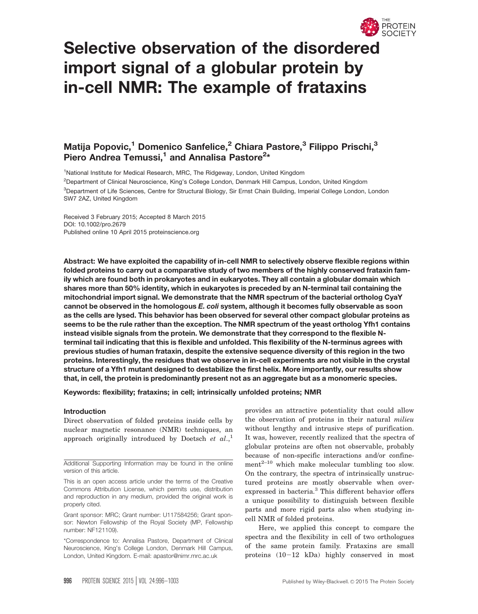

# Selective observation of the disordered import signal of a globular protein by in-cell NMR: The example of frataxins

# Matija Popovic,<sup>1</sup> Domenico Sanfelice,<sup>2</sup> Chiara Pastore,<sup>3</sup> Filippo Prischi,<sup>3</sup> Piero Andrea Temussi,<sup>1</sup> and Annalisa Pastore<sup>2\*</sup>

<sup>1</sup>National Institute for Medical Research, MRC, The Ridgeway, London, United Kingdom

2 Department of Clinical Neuroscience, King's College London, Denmark Hill Campus, London, United Kingdom <sup>3</sup>Department of Life Sciences, Centre for Structural Biology, Sir Ernst Chain Building, Imperial College London, London SW7 2AZ, United Kingdom

Received 3 February 2015; Accepted 8 March 2015 DOI: 10.1002/pro.2679 Published online 10 April 2015 proteinscience.org

Abstract: We have exploited the capability of in-cell NMR to selectively observe flexible regions within folded proteins to carry out a comparative study of two members of the highly conserved frataxin family which are found both in prokaryotes and in eukaryotes. They all contain a globular domain which shares more than 50% identity, which in eukaryotes is preceded by an N-terminal tail containing the mitochondrial import signal. We demonstrate that the NMR spectrum of the bacterial ortholog CyaY cannot be observed in the homologous E. coli system, although it becomes fully observable as soon as the cells are lysed. This behavior has been observed for several other compact globular proteins as seems to be the rule rather than the exception. The NMR spectrum of the yeast ortholog Yfh1 contains instead visible signals from the protein. We demonstrate that they correspond to the flexible Nterminal tail indicating that this is flexible and unfolded. This flexibility of the N-terminus agrees with previous studies of human frataxin, despite the extensive sequence diversity of this region in the two proteins. Interestingly, the residues that we observe in in-cell experiments are not visible in the crystal structure of a Yfh1 mutant designed to destabilize the first helix. More importantly, our results show that, in cell, the protein is predominantly present not as an aggregate but as a monomeric species.

Keywords: flexibility; frataxins; in cell; intrinsically unfolded proteins; NMR

# Introduction

Direct observation of folded proteins inside cells by nuclear magnetic resonance (NMR) techniques, an approach originally introduced by Doetsch et  $al, \cdot$ <sup>1</sup>

provides an attractive potentiality that could allow the observation of proteins in their natural milieu without lengthy and intrusive steps of purification. It was, however, recently realized that the spectra of globular proteins are often not observable, probably because of non-specific interactions and/or confine $ment^{2-10}$  which make molecular tumbling too slow. On the contrary, the spectra of intrinsically unstructured proteins are mostly observable when overexpressed in bacteria.<sup>3</sup> This different behavior offers a unique possibility to distinguish between flexible parts and more rigid parts also when studying incell NMR of folded proteins.

Here, we applied this concept to compare the spectra and the flexibility in cell of two orthologues of the same protein family. Frataxins are small proteins  $(10-12)$  kDa) highly conserved in most

Additional Supporting Information may be found in the online version of this article.

This is an open access article under the terms of the Creative Commons Attribution License, which permits use, distribution and reproduction in any medium, provided the original work is properly cited.

Grant sponsor: MRC; Grant number: U117584256; Grant sponsor: Newton Fellowship of the Royal Society (MP, Fellowship number: NF121109).

<sup>\*</sup>Correspondence to: Annalisa Pastore, Department of Clinical Neuroscience, King's College London, Denmark Hill Campus, London, United Kingdom. E-mail: apastor@nimr.mrc.ac.uk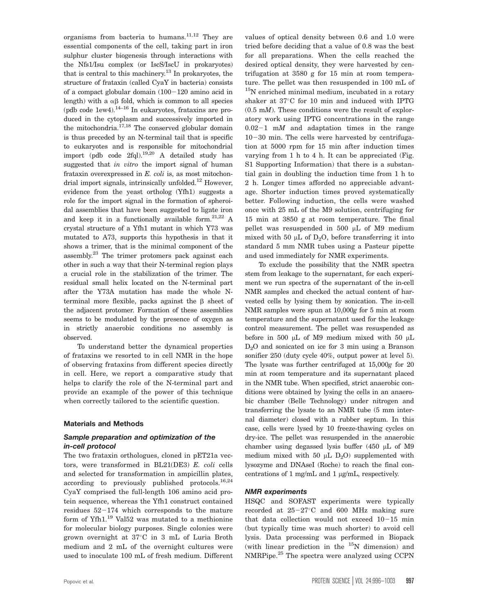organisms from bacteria to humans. $11,12$  They are essential components of the cell, taking part in iron sulphur cluster biogenesis through interactions with the Nfs1/Isu complex (or IscS/IscU in prokaryotes) that is central to this machinery.13 In prokaryotes, the structure of frataxin (called CyaY in bacteria) consists of a compact globular domain  $(100-120)$  amino acid in length) with a  $\alpha\beta$  fold, which is common to all species (pdb code  $1$ ew4).<sup>14–16</sup> In eukaryotes, frataxins are produced in the cytoplasm and successively imported in the mitochondria.<sup>17,18</sup> The conserved globular domain is thus preceded by an N-terminal tail that is specific to eukaryotes and is responsible for mitochondrial import (pdb code 2fql).19,20 A detailed study has suggested that in vitro the import signal of human frataxin overexpressed in  $E$ . coli is, as most mitochondrial import signals, intrinsically unfolded.<sup>12</sup> However, evidence from the yeast ortholog (Yfh1) suggests a role for the import signal in the formation of spheroidal assemblies that have been suggested to ligate iron and keep it in a functionally available form. $21,22$  A crystal structure of a Yfh1 mutant in which Y73 was mutated to A73, supports this hypothesis in that it shows a trimer, that is the minimal component of the assembly.23 The trimer protomers pack against each other in such a way that their N-terminal region plays a crucial role in the stabilization of the trimer. The residual small helix located on the N-terminal part after the Y73A mutation has made the whole Nterminal more flexible, packs against the  $\beta$  sheet of the adjacent protomer. Formation of these assemblies seems to be modulated by the presence of oxygen as in strictly anaerobic conditions no assembly is observed.

To understand better the dynamical properties of frataxins we resorted to in cell NMR in the hope of observing frataxins from different species directly in cell. Here, we report a comparative study that helps to clarify the role of the N-terminal part and provide an example of the power of this technique when correctly tailored to the scientific question.

# Materials and Methods

# Sample preparation and optimization of the in-cell protocol

The two frataxin orthologues, cloned in pET21a vectors, were transformed in BL21(DE3) E. coli cells and selected for transformation in ampicillin plates, according to previously published protocols.<sup>16,24</sup> CyaY comprised the full-length 106 amino acid protein sequence, whereas the Yfh1 construct contained residues  $52-174$  which corresponds to the mature form of Yfh1.<sup>19</sup> Val52 was mutated to a methionine for molecular biology purposes. Single colonies were grown overnight at 37-C in 3 mL of Luria Broth medium and 2 mL of the overnight cultures were used to inoculate 100 mL of fresh medium. Different values of optical density between 0.6 and 1.0 were tried before deciding that a value of 0.8 was the best for all preparations. When the cells reached the desired optical density, they were harvested by centrifugation at 3580 g for 15 min at room temperature. The pellet was then resuspended in 100 mL of <sup>15</sup>N enriched minimal medium, incubated in a rotary shaker at 37°C for 10 min and induced with IPTG  $(0.5 \text{ m})$ . These conditions were the result of exploratory work using IPTG concentrations in the range  $0.02-1$  mM and adaptation times in the range  $10-30$  min. The cells were harvested by centrifugation at 5000 rpm for 15 min after induction times varying from 1 h to 4 h. It can be appreciated (Fig. S1 Supporting Information) that there is a substantial gain in doubling the induction time from 1 h to 2 h. Longer times afforded no appreciable advantage. Shorter induction times proved systematically better. Following induction, the cells were washed once with 25 mL of the M9 solution, centrifuging for 15 min at 3850 g at room temperature. The final pellet was resuspended in 500  $\mu$ L of M9 medium mixed with 50  $\mu$ L of D<sub>2</sub>O, before transferring it into standard 5 mm NMR tubes using a Pasteur pipette and used immediately for NMR experiments.

To exclude the possibility that the NMR spectra stem from leakage to the supernatant, for each experiment we run spectra of the supernatant of the in-cell NMR samples and checked the actual content of harvested cells by lysing them by sonication. The in-cell NMR samples were spun at 10,000g for 5 min at room temperature and the supernatant used for the leakage control measurement. The pellet was resuspended as before in 500  $\mu$ L of M9 medium mixed with 50  $\mu$ L D2O and sonicated on ice for 3 min using a Branson sonifier 250 (duty cycle 40%, output power at level 5). The lysate was further centrifuged at 15,000g for 20 min at room temperature and its supernatant placed in the NMR tube. When specified, strict anaerobic conditions were obtained by lysing the cells in an anaerobic chamber (Belle Technology) under nitrogen and transferring the lysate to an NMR tube (5 mm internal diameter) closed with a rubber septum. In this case, cells were lysed by 10 freeze-thawing cycles on dry-ice. The pellet was resuspended in the anaerobic chamber using degassed lysis buffer  $(450 \mu L)$  of M9 medium mixed with 50  $\mu$ L D<sub>2</sub>O) supplemented with lysozyme and DNAseI (Roche) to reach the final concentrations of 1 mg/mL and 1  $\mu$ g/mL, respectively.

# NMR experiments

HSQC and SOFAST experiments were typically recorded at  $25-27$ °C and 600 MHz making sure that data collection would not exceed  $10-15$  min (but typically time was much shorter) to avoid cell lysis. Data processing was performed in Biopack (with linear prediction in the  $15N$  dimension) and NMRPipe.<sup>25</sup> The spectra were analyzed using CCPN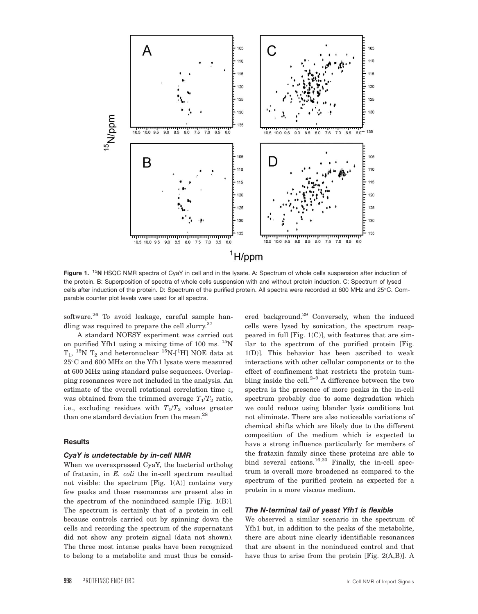

Figure 1. <sup>15</sup>N HSQC NMR spectra of CyaY in cell and in the lysate. A: Spectrum of whole cells suspension after induction of the protein. B: Superposition of spectra of whole cells suspension with and without protein induction. C: Spectrum of lysed cells after induction of the protein. D: Spectrum of the purified protein. All spectra were recorded at 600 MHz and 25-C. Comparable counter plot levels were used for all spectra.

software.<sup>26</sup> To avoid leakage, careful sample handling was required to prepare the cell slurry. $27$ 

A standard NOESY experiment was carried out on purified Yfh1 using a mixing time of 100 ms.  $^{15}$ N  ${\rm T_1},~^{15}{\rm N}$   ${\rm T_2}$  and heteronuclear  $^{15}{\rm N\text{-}l^1H}$ ] NOE data at 25-C and 600 MHz on the Yfh1 lysate were measured at 600 MHz using standard pulse sequences. Overlapping resonances were not included in the analysis. An estimate of the overall rotational correlation time  $\tau_c$ was obtained from the trimmed average  $T_1/T_2$  ratio, i.e., excluding residues with  $T_1/T_2$  values greater than one standard deviation from the mean.<sup>28</sup>

#### **Results**

#### CyaY is undetectable by in-cell NMR

When we overexpressed CyaY, the bacterial ortholog of frataxin, in E. coli the in-cell spectrum resulted not visible: the spectrum [Fig.  $1(A)$ ] contains very few peaks and these resonances are present also in the spectrum of the noninduced sample [Fig. 1(B)]. The spectrum is certainly that of a protein in cell because controls carried out by spinning down the cells and recording the spectrum of the supernatant did not show any protein signal (data not shown). The three most intense peaks have been recognized to belong to a metabolite and must thus be consid-

ered background.<sup>29</sup> Conversely, when the induced cells were lysed by sonication, the spectrum reappeared in full  $[Fig, 1(C)]$ , with features that are similar to the spectrum of the purified protein [Fig. 1(D)]. This behavior has been ascribed to weak interactions with other cellular components or to the effect of confinement that restricts the protein tumbling inside the cell. $2-9$  A difference between the two spectra is the presence of more peaks in the in-cell spectrum probably due to some degradation which we could reduce using blander lysis conditions but not eliminate. There are also noticeable variations of chemical shifts which are likely due to the different composition of the medium which is expected to have a strong influence particularly for members of the frataxin family since these proteins are able to bind several cations.<sup>16,30</sup> Finally, the in-cell spectrum is overall more broadened as compared to the spectrum of the purified protein as expected for a protein in a more viscous medium.

#### The N-terminal tail of yeast Yfh1 is flexible

We observed a similar scenario in the spectrum of Yfh1 but, in addition to the peaks of the metabolite, there are about nine clearly identifiable resonances that are absent in the noninduced control and that have thus to arise from the protein [Fig. 2(A,B)]. A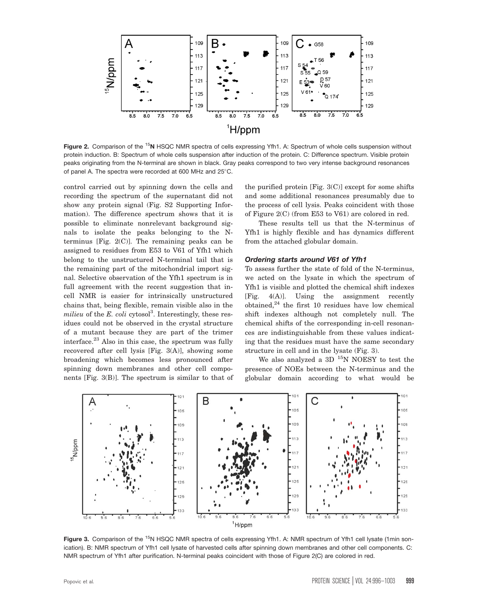

Figure 2. Comparison of the <sup>15</sup>N HSQC NMR spectra of cells expressing Yfh1. A: Spectrum of whole cells suspension without protein induction. B: Spectrum of whole cells suspension after induction of the protein. C: Difference spectrum. Visible protein peaks originating from the N-terminal are shown in black. Gray peaks correspond to two very intense background resonances of panel A. The spectra were recorded at 600 MHz and 25°C.

control carried out by spinning down the cells and recording the spectrum of the supernatant did not show any protein signal (Fig. S2 Supporting Information). The difference spectrum shows that it is possible to eliminate nonrelevant background signals to isolate the peaks belonging to the Nterminus [Fig.  $2(C)$ ]. The remaining peaks can be assigned to residues from E53 to V61 of Yfh1 which belong to the unstructured N-terminal tail that is the remaining part of the mitochondrial import signal. Selective observation of the Yfh1 spectrum is in full agreement with the recent suggestion that incell NMR is easier for intrinsically unstructured chains that, being flexible, remain visible also in the milieu of the E. coli cytosol<sup>3</sup>. Interestingly, these residues could not be observed in the crystal structure of a mutant because they are part of the trimer interface. $^{23}$  Also in this case, the spectrum was fully recovered after cell lysis [Fig. 3(A)], showing some broadening which becomes less pronounced after spinning down membranes and other cell components [Fig. 3(B)]. The spectrum is similar to that of the purified protein [Fig. 3(C)] except for some shifts and some additional resonances presumably due to the process of cell lysis. Peaks coincident with those of Figure 2(C) (from E53 to V61) are colored in red.

These results tell us that the N-terminus of Yfh1 is highly flexible and has dynamics different from the attached globular domain.

# Ordering starts around V61 of Yfh1

To assess further the state of fold of the N-terminus, we acted on the lysate in which the spectrum of Yfh1 is visible and plotted the chemical shift indexes [Fig. 4(A)]. Using the assignment recently obtained, $^{24}$  the first 10 residues have low chemical shift indexes although not completely null. The chemical shifts of the corresponding in-cell resonances are indistinguishable from these values indicating that the residues must have the same secondary structure in cell and in the lysate (Fig. 3).

We also analyzed a 3D <sup>15</sup>N NOESY to test the presence of NOEs between the N-terminus and the globular domain according to what would be



Figure 3. Comparison of the <sup>15</sup>N HSQC NMR spectra of cells expressing Yfh1. A: NMR spectrum of Yfh1 cell lysate (1min sonication). B: NMR spectrum of Yfh1 cell lysate of harvested cells after spinning down membranes and other cell components. C: NMR spectrum of Yfh1 after purification. N-terminal peaks coincident with those of Figure 2(C) are colored in red.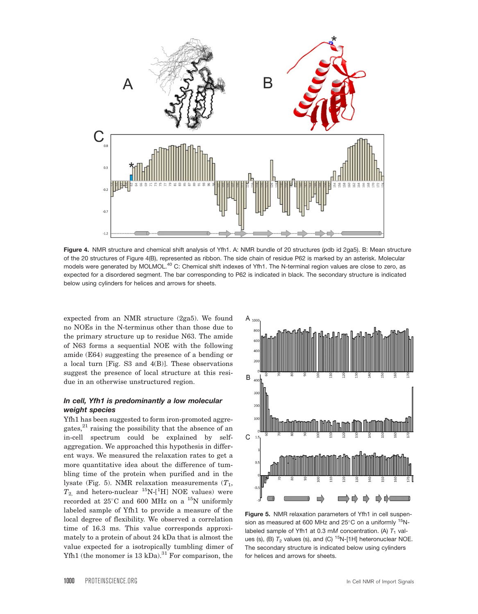

Figure 4. NMR structure and chemical shift analysis of Yfh1. A: NMR bundle of 20 structures (pdb id 2ga5). B: Mean structure of the 20 structures of Figure 4(B), represented as ribbon. The side chain of residue P62 is marked by an asterisk. Molecular models were generated by MOLMOL.<sup>40</sup> C: Chemical shift indexes of Yfh1. The N-terminal region values are close to zero, as expected for a disordered segment. The bar corresponding to P62 is indicated in black. The secondary structure is indicated below using cylinders for helices and arrows for sheets.

expected from an NMR structure (2ga5). We found no NOEs in the N-terminus other than those due to the primary structure up to residue N63. The amide of N63 forms a sequential NOE with the following amide (E64) suggesting the presence of a bending or a local turn [Fig. S3 and 4(B)]. These observations suggest the presence of local structure at this residue in an otherwise unstructured region.

# In cell, Yfh1 is predominantly a low molecular weight species

Yfh1 has been suggested to form iron-promoted aggregates, $^{21}$  raising the possibility that the absence of an in-cell spectrum could be explained by selfaggregation. We approached this hypothesis in different ways. We measured the relaxation rates to get a more quantitative idea about the difference of tumbling time of the protein when purified and in the lysate (Fig. 5). NMR relaxation measurements  $(T_1,$  $T_{2}$ , and hetero-nuclear  $^{15}$ N-[<sup>1</sup>H] NOE values) were recorded at  $25^{\circ}$ C and 600 MHz on a  $^{15}$ N uniformly labeled sample of Yfh1 to provide a measure of the local degree of flexibility. We observed a correlation time of 16.3 ms. This value corresponds approximately to a protein of about 24 kDa that is almost the value expected for a isotropically tumbling dimer of Yfh1 (the monomer is  $13 \text{ kDa}$ ).<sup>31</sup> For comparison, the



Figure 5. NMR relaxation parameters of Yfh1 in cell suspension as measured at 600 MHz and 25°C on a uniformly  $^{15}$ Nlabeled sample of Yfh1 at 0.3 mM concentration. (A)  $T_1$  values (s), (B)  $T_2$  values (s), and (C) <sup>15</sup>N-[1H] heteronuclear NOE. The secondary structure is indicated below using cylinders for helices and arrows for sheets.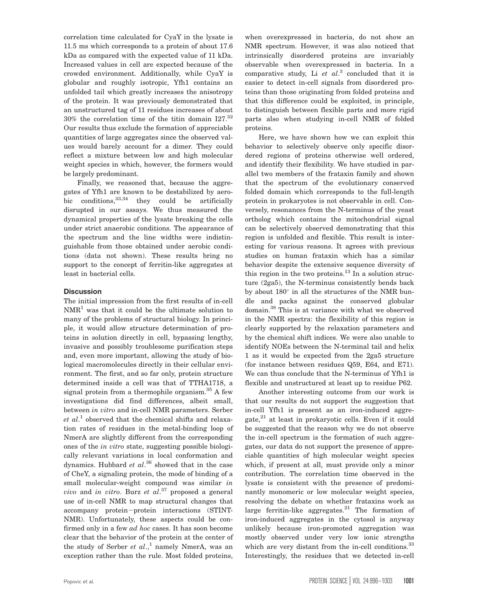correlation time calculated for CyaY in the lysate is 11.5 ms which corresponds to a protein of about 17.6 kDa as compared with the expected value of 11 kDa. Increased values in cell are expected because of the crowded environment. Additionally, while CyaY is globular and roughly isotropic, Yfh1 contains an unfolded tail which greatly increases the anisotropy of the protein. It was previously demonstrated that an unstructured tag of 11 residues increases of about 30% the correlation time of the titin domain I27.32 Our results thus exclude the formation of appreciable quantities of large aggregates since the observed values would barely account for a dimer. They could reflect a mixture between low and high molecular weight species in which, however, the formers would be largely predominant.

Finally, we reasoned that, because the aggregates of Yfh1 are known to be destabilized by aerobic conditions,  $33,34$  they could be artificially disrupted in our assays. We thus measured the dynamical properties of the lysate breaking the cells under strict anaerobic conditions. The appearance of the spectrum and the line widths were indistinguishable from those obtained under aerobic conditions (data not shown). These results bring no support to the concept of ferritin-like aggregates at least in bacterial cells.

# **Discussion**

The initial impression from the first results of in-cell  $NMR<sup>1</sup>$  was that it could be the ultimate solution to many of the problems of structural biology. In principle, it would allow structure determination of proteins in solution directly in cell, bypassing lengthy, invasive and possibly troublesome purification steps and, even more important, allowing the study of biological macromolecules directly in their cellular environment. The first, and so far only, protein structure determined inside a cell was that of TTHA1718, a signal protein from a thermophile organism.<sup>35</sup> A few investigations did find differences, albeit small, between in vitro and in-cell NMR parameters. Serber et al.<sup>1</sup> observed that the chemical shifts and relaxation rates of residues in the metal-binding loop of NmerA are slightly different from the corresponding ones of the in vitro state, suggesting possible biologically relevant variations in local conformation and dynamics. Hubbard  $et$   $al$ .<sup>36</sup> showed that in the case of CheY, a signaling protein, the mode of binding of a small molecular-weight compound was similar in vivo and in vitro. Burz et al.<sup>37</sup> proposed a general use of in-cell NMR to map structural changes that accompany protein-protein interactions (STINT-NMR). Unfortunately, these aspects could be confirmed only in a few ad hoc cases. It has soon become clear that the behavior of the protein at the center of the study of Serber et  $al$ <sup>1</sup>, namely NmerA, was an exception rather than the rule. Most folded proteins,

when overexpressed in bacteria, do not show an NMR spectrum. However, it was also noticed that intrinsically disordered proteins are invariably observable when overexpressed in bacteria. In a comparative study, Li  $et$   $al.^3$  concluded that it is easier to detect in-cell signals from disordered proteins than those originating from folded proteins and that this difference could be exploited, in principle, to distinguish between flexible parts and more rigid parts also when studying in-cell NMR of folded proteins.

Here, we have shown how we can exploit this behavior to selectively observe only specific disordered regions of proteins otherwise well ordered, and identify their flexibility. We have studied in parallel two members of the frataxin family and shown that the spectrum of the evolutionary conserved folded domain which corresponds to the full-length protein in prokaryotes is not observable in cell. Conversely, resonances from the N-terminus of the yeast ortholog which contains the mitochondrial signal can be selectively observed demonstrating that this region is unfolded and flexible. This result is interesting for various reasons. It agrees with previous studies on human frataxin which has a similar behavior despite the extensive sequence diversity of this region in the two proteins. $^{13}$  In a solution structure (2ga5), the N-terminus consistently bends back by about  $180^\circ$  in all the structures of the NMR bundle and packs against the conserved globular domain.<sup>38</sup> This is at variance with what we observed in the NMR spectra: the flexibility of this region is clearly supported by the relaxation parameters and by the chemical shift indices. We were also unable to identify NOEs between the N-terminal tail and helix 1 as it would be expected from the 2ga5 structure (for instance between residues Q59, E64, and E71). We can thus conclude that the N-terminus of Yfh1 is flexible and unstructured at least up to residue P62.

Another interesting outcome from our work is that our results do not support the suggestion that in-cell Yfh1 is present as an iron-induced aggregate, $21$  at least in prokaryotic cells. Even if it could be suggested that the reason why we do not observe the in-cell spectrum is the formation of such aggregates, our data do not support the presence of appreciable quantities of high molecular weight species which, if present at all, must provide only a minor contribution. The correlation time observed in the lysate is consistent with the presence of predominantly monomeric or low molecular weight species, resolving the debate on whether frataxins work as large ferritin-like aggregates. $21$  The formation of iron-induced aggregates in the cytosol is anyway unlikely because iron-promoted aggregation was mostly observed under very low ionic strengths which are very distant from the in-cell conditions.<sup>33</sup> Interestingly, the residues that we detected in-cell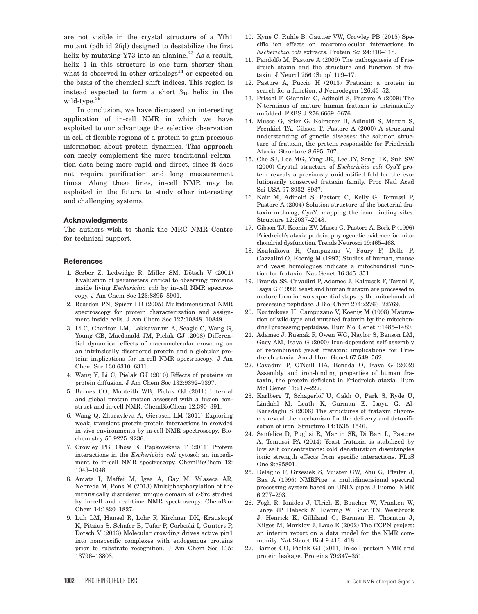are not visible in the crystal structure of a Yfh1 mutant (pdb id 2fql) designed to destabilize the first helix by mutating  $Y73$  into an alanine.<sup>23</sup> As a result, helix 1 in this structure is one turn shorter than what is observed in other orthologs $^{14}$  or expected on the basis of the chemical shift indices. This region is instead expected to form a short  $3_{10}$  helix in the wild-type.39

In conclusion, we have discussed an interesting application of in-cell NMR in which we have exploited to our advantage the selective observation in-cell of flexible regions of a protein to gain precious information about protein dynamics. This approach can nicely complement the more traditional relaxation data being more rapid and direct, since it does not require purification and long measurement times. Along these lines, in-cell NMR may be exploited in the future to study other interesting and challenging systems.

#### Acknowledgments

The authors wish to thank the MRC NMR Centre for technical support.

#### **References**

- 1. Serber Z, Ledwidge R, Miller SM, Dötsch V (2001) Evaluation of parameters critical to observing proteins inside living Escherichia coli by in-cell NMR spectroscopy. J Am Chem Soc 123:8895–8901.
- 2. Reardon PN, Spicer LD (2005) Multidimensional NMR spectroscopy for protein characterization and assignment inside cells. J Am Chem Soc 127:10848–10849.
- 3. Li C, Charlton LM, Lakkavaram A, Seagle C, Wang G, Young GB, Macdonald JM, Pielak GJ (2008) Differential dynamical effects of macromolecular crowding on an intrinsically disordered protein and a globular protein: implications for in-cell NMR spectroscopy. J Am Chem Soc 130:6310–6311.
- 4. Wang Y, Li C, Pielak GJ (2010) Effects of proteins on protein diffusion. J Am Chem Soc 132:9392–9397.
- 5. Barnes CO, Monteith WB, Pielak GJ (2011) Internal and global protein motion assessed with a fusion construct and in-cell NMR. ChemBioChem 12:390–391.
- 6. Wang Q, Zhuravleva A, Gierasch LM (2011) Exploring weak, transient protein-protein interactions in crowded in vivo environments by in-cell NMR spectroscopy. Biochemistry 50:9225–9236.
- 7. Crowley PB, Chow E, Papkovskaia T (2011) Protein interactions in the Escherichia coli cytosol: an impediment to in-cell NMR spectroscopy. ChemBioChem 12: 1043–1048.
- 8. Amata I, Maffei M, Igea A, Gay M, Vilaseca AR, Nebreda M, Pons M (2013) Multiphosphorylation of the intrinsically disordered unique domain of c-Src studied by in-cell and real-time NMR spectroscopy. ChemBio-Chem 14:1820–1827.
- 9. Luh LM, Hansel R, Lohr F, Kirchner DK, Krauskopf K, Pitzius S, Schafer B, Tufar P, Corbeski I, Guntert P, Dotsch V (2013) Molecular crowding drives active pin1 into nonspecific complexes with endogenous proteins prior to substrate recognition. J Am Chem Soc 135: 13796–13803.
- 10. Kyne C, Ruhle B, Gautier VW, Crowley PB (2015) Specific ion effects on macromolecular interactions in Escherichia coli extracts. Protein Sci 24:310–318.
- 11. Pandolfo M, Pastore A (2009) The pathogenesis of Friedreich ataxia and the structure and function of frataxin. J Neurol 256 (Suppl 1):9–17.
- 12. Pastore A, Puccio H (2013) Frataxin: a protein in search for a function. J Neurodegen 126:43–52.
- 13. Prischi F, Giannini C, Adinolfi S, Pastore A (2009) The N-terminus of mature human frataxin is intrinsically unfolded. FEBS J 276:6669–6676.
- 14. Musco G, Stier G, Kolmerer B, Adinolfi S, Martin S, Frenkiel TA, Gibson T, Pastore A (2000) A structural understanding of genetic diseases: the solution structure of frataxin, the protein responsible for Friedreich Ataxia. Structure 8:695–707.
- 15. Cho SJ, Lee MG, Yang JK, Lee JY, Song HK, Suh SW (2000) Crystal structure of Escherichia coli CyaY protein reveals a previously unidentified fold for the evolutionarily conserved frataxin family. Proc Natl Acad Sci USA 97:8932–8937.
- 16. Nair M, Adinolfi S, Pastore C, Kelly G, Temussi P, Pastore A (2004) Solution structure of the bacterial frataxin ortholog, CyaY: mapping the iron binding sites. Structure 12:2037–2048.
- 17. Gibson TJ, Koonin EV, Musco G, Pastore A, Bork P (1996) Friedreich's ataxia protein: phylogenetic evidence for mitochondrial dysfunction. Trends Neurosci 19:465–468.
- 18. Koutnikova H, Campuzano V, Foury F, Dolle P, Cazzalini O, Koenig M (1997) Studies of human, mouse and yeast homologues indicate a mitochondrial function for frataxin. Nat Genet 16:345–351.
- 19. Branda SS, Cavadini P, Adamec J, Kalousek F, Taroni F, Isaya G (1999) Yeast and human frataxin are processed to mature form in two sequential steps by the mitochondrial processing peptidase. J Biol Chem 274:22763–22769.
- 20. Koutnikova H, Campuzano V, Koenig M (1998) Maturation of wild-type and mutated frataxin by the mitochondrial processing peptidase. Hum Mol Genet 7:1485–1489.
- 21. Adamec J, Rusnak F, Owen WG, Naylor S, Benson LM, Gacy AM, Isaya G (2000) Iron-dependent self-assembly of recombinant yeast frataxin: implications for Friedreich ataxia. Am J Hum Genet 67:549–562.
- 22. Cavadini P, O'Neill HA, Benada O, Isaya G (2002) Assembly and iron-binding properties of human frataxin, the protein deficient in Friedreich ataxia. Hum Mol Genet 11:217–227.
- 23. Karlberg T, Schagerlöf U, Gakh O, Park S, Ryde U, Lindahl M, Leath K, Garman E, Isaya G, Al-Karadaghi S (2006) The structures of frataxin oligomers reveal the mechanism for the delivery and detoxification of iron. Structure 14:1535–1546.
- 24. Sanfelice D, Puglisi R, Martin SR, Di Bari L, Pastore A, Temussi PA (2014) Yeast frataxin is stabilized by low salt concentrations: cold denaturation disentangles ionic strength effects from specific interactions. PLoS One 9:e95801.
- 25. Delaglio F, Grzesiek S, Vuister GW, Zhu G, Pfeifer J, Bax A (1995) NMRPipe: a multidimensional spectral processing system based on UNIX pipes J Biomol NMR 6:277–293.
- 26. Fogh R, Ionides J, Ulrich E, Boucher W, Vranken W, Linge JP, Habeck M, Rieping W, Bhat TN, Westbrook J, Henrick K, Gilliland G, Berman H, Thornton J, Nilges M, Markley J, Laue E (2002) The CCPN project: an interim report on a data model for the NMR community. Nat Struct Biol 9:416–418.
- 27. Barnes CO, Pielak GJ (2011) In-cell protein NMR and protein leakage. Proteins 79:347–351.